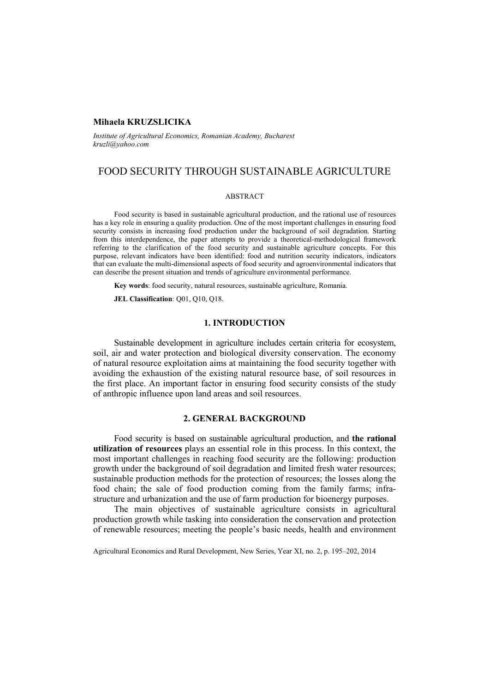## **Mihaela KRUZSLICIKA**

*Institute of Agricultural Economics, Romanian Academy, Bucharest kruzli@yahoo.com* 

# FOOD SECURITY THROUGH SUSTAINABLE AGRICULTURE

#### ABSTRACT

Food security is based in sustainable agricultural production, and the rational use of resources has a key role in ensuring a quality production. One of the most important challenges in ensuring food security consists in increasing food production under the background of soil degradation. Starting from this interdependence, the paper attempts to provide a theoretical-methodological framework referring to the clarification of the food security and sustainable agriculture concepts. For this purpose, relevant indicators have been identified: food and nutrition security indicators, indicators that can evaluate the multi-dimensional aspects of food security and agroenvironmental indicators that can describe the present situation and trends of agriculture environmental performance.

**Key words**: food security, natural resources, sustainable agriculture, Romania.

**JEL Classification**: Q01, Q10, Q18.

### **1. INTRODUCTION**

Sustainable development in agriculture includes certain criteria for ecosystem, soil, air and water protection and biological diversity conservation. The economy of natural resource exploitation aims at maintaining the food security together with avoiding the exhaustion of the existing natural resource base, of soil resources in the first place. An important factor in ensuring food security consists of the study of anthropic influence upon land areas and soil resources.

## **2. GENERAL BACKGROUND**

Food security is based on sustainable agricultural production, and **the rational utilization of resources** plays an essential role in this process. In this context, the most important challenges in reaching food security are the following: production growth under the background of soil degradation and limited fresh water resources; sustainable production methods for the protection of resources; the losses along the food chain; the sale of food production coming from the family farms; infrastructure and urbanization and the use of farm production for bioenergy purposes.

The main objectives of sustainable agriculture consists in agricultural production growth while tasking into consideration the conservation and protection of renewable resources; meeting the people's basic needs, health and environment

Agricultural Economics and Rural Development, New Series, Year XI, no. 2, p. 195–202, 2014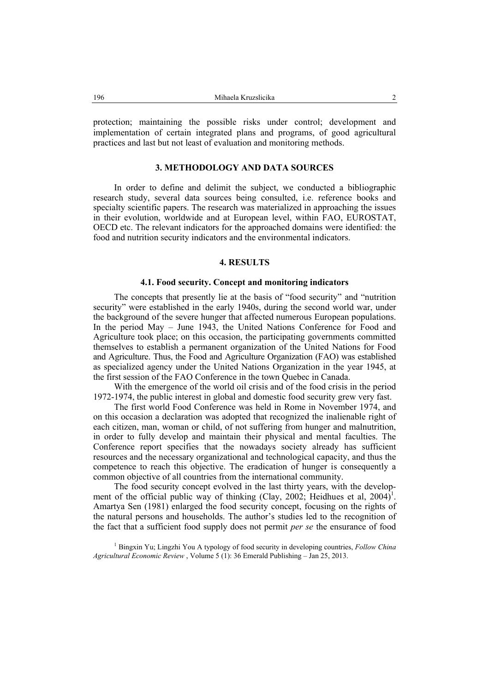protection; maintaining the possible risks under control; development and implementation of certain integrated plans and programs, of good agricultural practices and last but not least of evaluation and monitoring methods.

## **3. METHODOLOGY AND DATA SOURCES**

In order to define and delimit the subject, we conducted a bibliographic research study, several data sources being consulted, i.e. reference books and specialty scientific papers. The research was materialized in approaching the issues in their evolution, worldwide and at European level, within FAO, EUROSTAT, OECD etc. The relevant indicators for the approached domains were identified: the food and nutrition security indicators and the environmental indicators.

### **4. RESULTS**

#### **4.1. Food security. Concept and monitoring indicators**

The concepts that presently lie at the basis of "food security" and "nutrition security" were established in the early 1940s, during the second world war, under the background of the severe hunger that affected numerous European populations. In the period May – June 1943, the United Nations Conference for Food and Agriculture took place; on this occasion, the participating governments committed themselves to establish a permanent organization of the United Nations for Food and Agriculture. Thus, the Food and Agriculture Organization (FAO) was established as specialized agency under the United Nations Organization in the year 1945, at the first session of the FAO Conference in the town Quebec in Canada.

With the emergence of the world oil crisis and of the food crisis in the period 1972-1974, the public interest in global and domestic food security grew very fast.

The first world Food Conference was held in Rome in November 1974, and on this occasion a declaration was adopted that recognized the inalienable right of each citizen, man, woman or child, of not suffering from hunger and malnutrition, in order to fully develop and maintain their physical and mental faculties. The Conference report specifies that the nowadays society already has sufficient resources and the necessary organizational and technological capacity, and thus the competence to reach this objective. The eradication of hunger is consequently a common objective of all countries from the international community.

The food security concept evolved in the last thirty years, with the development of the official public way of thinking (Clay, 2002; Heidhues et al, 2004)<sup>1</sup>. Amartya Sen (1981) enlarged the food security concept, focusing on the rights of the natural persons and households. The author's studies led to the recognition of the fact that a sufficient food supply does not permit *per se* the ensurance of food

1 Bingxin Yu; Lingzhi You A typology of food security in developing countries, *Follow China Agricultural Economic Review* , Volume 5 (1): 36 Emerald Publishing – Jan 25, 2013.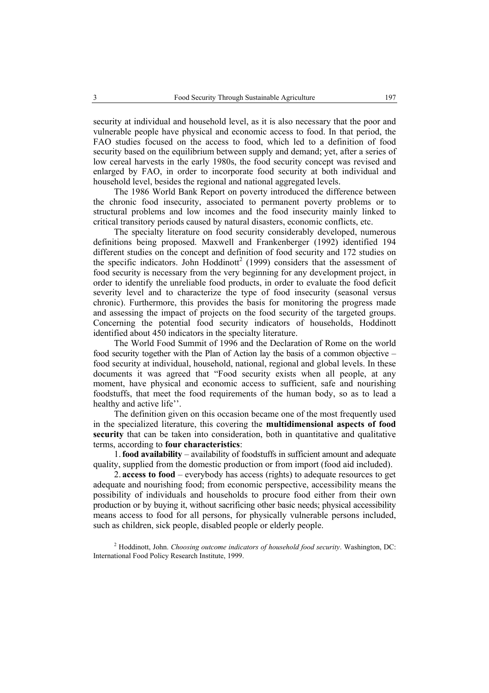security at individual and household level, as it is also necessary that the poor and vulnerable people have physical and economic access to food. In that period, the FAO studies focused on the access to food, which led to a definition of food security based on the equilibrium between supply and demand; yet, after a series of low cereal harvests in the early 1980s, the food security concept was revised and enlarged by FAO, in order to incorporate food security at both individual and household level, besides the regional and national aggregated levels.

The 1986 World Bank Report on poverty introduced the difference between the chronic food insecurity, associated to permanent poverty problems or to structural problems and low incomes and the food insecurity mainly linked to critical transitory periods caused by natural disasters, economic conflicts, etc.

The specialty literature on food security considerably developed, numerous definitions being proposed. Maxwell and Frankenberger (1992) identified 194 different studies on the concept and definition of food security and 172 studies on the specific indicators. John  $H$ oddinott<sup>2</sup> (1999) considers that the assessment of food security is necessary from the very beginning for any development project, in order to identify the unreliable food products, in order to evaluate the food deficit severity level and to characterize the type of food insecurity (seasonal versus chronic). Furthermore, this provides the basis for monitoring the progress made and assessing the impact of projects on the food security of the targeted groups. Concerning the potential food security indicators of households, Hoddinott identified about 450 indicators in the specialty literature.

The World Food Summit of 1996 and the Declaration of Rome on the world food security together with the Plan of Action lay the basis of a common objective – food security at individual, household, national, regional and global levels. In these documents it was agreed that "Food security exists when all people, at any moment, have physical and economic access to sufficient, safe and nourishing foodstuffs, that meet the food requirements of the human body, so as to lead a healthy and active life".

The definition given on this occasion became one of the most frequently used in the specialized literature, this covering the **multidimensional aspects of food security** that can be taken into consideration, both in quantitative and qualitative terms, according to **four characteristics**:

1.**food availability** – availability of foodstuffs in sufficient amount and adequate quality, supplied from the domestic production or from import (food aid included).

2. **access to food** – everybody has access (rights) to adequate resources to get adequate and nourishing food; from economic perspective, accessibility means the possibility of individuals and households to procure food either from their own production or by buying it, without sacrificing other basic needs; physical accessibility means access to food for all persons, for physically vulnerable persons included, such as children, sick people, disabled people or elderly people.

2 Hoddinott, John. *Choosing outcome indicators of household food security*. Washington, DC: International Food Policy Research Institute, 1999.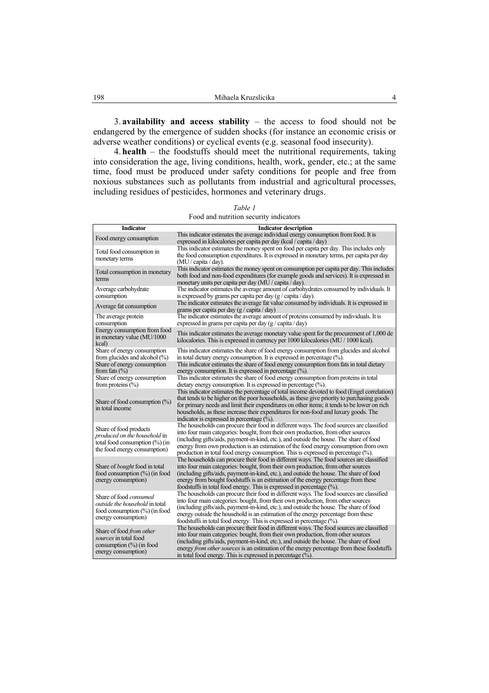3. **availability and access stability** – the access to food should not be endangered by the emergence of sudden shocks (for instance an economic crisis or adverse weather conditions) or cyclical events (e.g. seasonal food insecurity).

4. **health** – the foodstuffs should meet the nutritional requirements, taking into consideration the age, living conditions, health, work, gender, etc.; at the same time, food must be produced under safety conditions for people and free from noxious substances such as pollutants from industrial and agricultural processes, including residues of pesticides, hormones and veterinary drugs.

| <b>Indicator</b>                                                                                          | <b>Indicator description</b>                                                                     |
|-----------------------------------------------------------------------------------------------------------|--------------------------------------------------------------------------------------------------|
| Food energy consumption                                                                                   | This indicator estimates the average individual energy consumption from food. It is              |
|                                                                                                           | expressed in kilocalories per capita per day (kcal / capita / day)                               |
| Total food consumption in<br>monetary terms                                                               | This indicator estimates the money spent on food per capita per day. This includes only          |
|                                                                                                           | the food consumption expenditures. It is expressed in monetary terms, per capita per day         |
|                                                                                                           | (MU / capita / day).                                                                             |
| Total consumption in monetary                                                                             | This indicator estimates the money spent on consumption per capita per day. This includes        |
| terms                                                                                                     | both food and non-food expenditures (for example goods and services). It is expressed in         |
|                                                                                                           | monetary units per capita per day (MU / capita / day).                                           |
| Average carbohydrate                                                                                      | The indicator estimates the average amount of carbohydrates consumed by individuals. It          |
| consumption                                                                                               | is expressed by grams per capita per day $(g / \text{ capita} / \text{day})$ .                   |
| Average fat consumption                                                                                   | The indicator estimates the average fat value consumed by individuals. It is expressed in        |
|                                                                                                           | grams per capita per day $(g / \text{capita} / \text{day})$                                      |
| The average protein                                                                                       | The indicator estimates the average amount of proteins consumed by individuals. It is            |
| consumption                                                                                               | expressed in grams per capita per day (g / capita / day)                                         |
| Energy consumption from food                                                                              |                                                                                                  |
| in monetary value (MU/1000                                                                                | This indicator estimates the average monetary value spent for the procurement of 1,000 de        |
| kcal)                                                                                                     | kilocalories. This is expressed in currency per 1000 kilocalories (MU / 1000 kcal).              |
| Share of energy consumption                                                                               | This indicator estimates the share of food energy consumption from glucides and alcohol          |
| from glucides and alcohol (%)                                                                             | in total dietary energy consumption. It is expressed in percentage (%).                          |
| Share of energy consumption                                                                               | This indicator estimates the share of food energy consumption from fats in total dietary         |
| from fats $(\% )$                                                                                         | energy consumption. It is expressed in percentage $(\% )$ .                                      |
| Share of energy consumption                                                                               | This indicator estimates the share of food energy consumption from proteins in total             |
| from proteins $(\% )$                                                                                     | dietary energy consumption. It is expressed in percentage $(\%).$                                |
| Share of food consumption $(\%)$<br>in total income                                                       | This indicator estimates the percentage of total income devoted to food (Engel correlation)      |
|                                                                                                           | that tends to be higher on the poor households, as these give priority to purchasing goods       |
|                                                                                                           | for primary needs and limit their expenditures on other items; it tends to be lower on rich      |
|                                                                                                           | households, as these increase their expenditures for non-food and luxury goods. The              |
|                                                                                                           | indicator is expressed in percentage $(\% )$ .                                                   |
|                                                                                                           | The households can procure their food in different ways. The food sources are classified         |
| Share of food products                                                                                    | into four main categories: bought, from their own production, from other sources                 |
| <i>produced on the household</i> in<br>total food consumption $(\% )$ (in<br>the food energy consumption) | (including gifts/aids, payment-in-kind, etc.), and outside the house. The share of food          |
|                                                                                                           | energy from own production is an estimation of the food energy consumption from own              |
|                                                                                                           | production in total food energy consumption. This is expressed in percentage $(\%)$ .            |
|                                                                                                           | The households can procure their food in different ways. The food sources are classified         |
| Share of <i>bought</i> food in total                                                                      | into four main categories: bought, from their own production, from other sources                 |
| food consumption (%) (in food                                                                             | (including gifts/aids, payment-in-kind, etc.), and outside the house. The share of food          |
| energy consumption)                                                                                       | energy from bought foodstuffs is an estimation of the energy percentage from these               |
|                                                                                                           | foodstuffs in total food energy. This is expressed in percentage $(\%)$ .                        |
|                                                                                                           | The households can procure their food in different ways. The food sources are classified         |
| Share of food <i>consumed</i>                                                                             | into four main categories: bought, from their own production, from other sources                 |
| <i>outside the household</i> in total                                                                     | (including gifts/aids, payment-in-kind, etc.), and outside the house. The share of food          |
| food consumption (%) (in food<br>energy consumption)                                                      | energy outside the household is an estimation of the energy percentage from these                |
|                                                                                                           | foodstuffs in total food energy. This is expressed in percentage $(\%).$                         |
|                                                                                                           |                                                                                                  |
| Share of food from other                                                                                  | The households can procure their food in different ways. The food sources are classified         |
| sources in total food<br>consumption $(\%)$ (in food                                                      | into four main categories: bought, from their own production, from other sources                 |
|                                                                                                           | (including gifts/aids, payment-in-kind, etc.), and outside the house. The share of food          |
| energy consumption)                                                                                       | energy <i>from other sources</i> is an estimation of the energy percentage from these foodstuffs |
|                                                                                                           | in total food energy. This is expressed in percentage $(\%).$                                    |

*Table 1*  Food and nutrition security indicators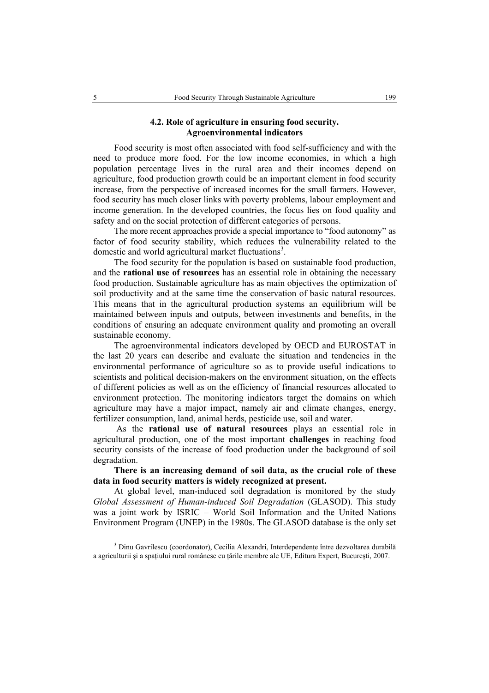## **4.2. Role of agriculture in ensuring food security. Agroenvironmental indicators**

Food security is most often associated with food self-sufficiency and with the need to produce more food. For the low income economies, in which a high population percentage lives in the rural area and their incomes depend on agriculture, food production growth could be an important element in food security increase, from the perspective of increased incomes for the small farmers. However, food security has much closer links with poverty problems, labour employment and income generation. In the developed countries, the focus lies on food quality and safety and on the social protection of different categories of persons.

The more recent approaches provide a special importance to "food autonomy" as factor of food security stability, which reduces the vulnerability related to the domestic and world agricultural market fluctuations<sup>3</sup>.

The food security for the population is based on sustainable food production, and the **rational use of resources** has an essential role in obtaining the necessary food production. Sustainable agriculture has as main objectives the optimization of soil productivity and at the same time the conservation of basic natural resources. This means that in the agricultural production systems an equilibrium will be maintained between inputs and outputs, between investments and benefits, in the conditions of ensuring an adequate environment quality and promoting an overall sustainable economy.

The agroenvironmental indicators developed by OECD and EUROSTAT in the last 20 years can describe and evaluate the situation and tendencies in the environmental performance of agriculture so as to provide useful indications to scientists and political decision-makers on the environment situation, on the effects of different policies as well as on the efficiency of financial resources allocated to environment protection. The monitoring indicators target the domains on which agriculture may have a major impact, namely air and climate changes, energy, fertilizer consumption, land, animal herds, pesticide use, soil and water.

 As the **rational use of natural resources** plays an essential role in agricultural production, one of the most important **challenges** in reaching food security consists of the increase of food production under the background of soil degradation.

**There is an increasing demand of soil data, as the crucial role of these data in food security matters is widely recognized at present.** 

At global level, man-induced soil degradation is monitored by the study *Global Assessment of Human-induced Soil Degradation* (GLASOD). This study was a joint work by ISRIC – World Soil Information and the United Nations Environment Program (UNEP) in the 1980s. The GLASOD database is the only set

<sup>3</sup> Dinu Gavrilescu (coordonator), Cecilia Alexandri, Interdependențe între dezvoltarea durabilă a agriculturii şi a spaţiului rural românesc cu ţările membre ale UE, Editura Expert, Bucureşti, 2007.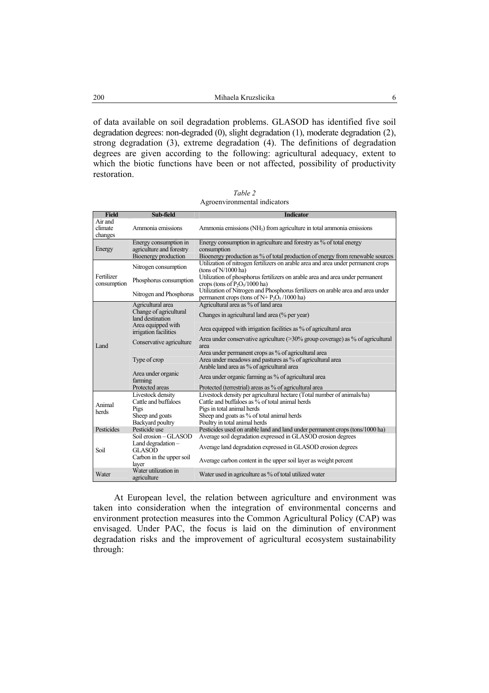of data available on soil degradation problems. GLASOD has identified five soil degradation degrees: non-degraded (0), slight degradation (1), moderate degradation (2), strong degradation (3), extreme degradation (4). The definitions of degradation degrees are given according to the following: agricultural adequacy, extent to which the biotic functions have been or not affected, possibility of productivity restoration.

*Table 2*  Agroenvironmental indicators

| <b>Field</b>                  | Sub-field                                                                 | <b>Indicator</b>                                                                                                                                                     |
|-------------------------------|---------------------------------------------------------------------------|----------------------------------------------------------------------------------------------------------------------------------------------------------------------|
| Air and<br>climate<br>changes | Ammonia emissions                                                         | Ammonia emissions (NH <sub>3</sub> ) from agriculture in total ammonia emissions                                                                                     |
| Energy                        | Energy consumption in<br>agriculture and forestry<br>Bioenergy production | Energy consumption in agriculture and forestry as % of total energy<br>consumption<br>Bioenergy production as % of total production of energy from renewable sources |
| Fertilizer<br>consumption     | Nitrogen consumption                                                      | Utilization of nitrogen fertilizers on arable area and area under permanent crops<br>(tons of $N/1000$ ha)                                                           |
|                               | Phosphorus consumption                                                    | Utilization of phosphorus fertilizers on arable area and area under permanent<br>crops (tons of $P_2O_5/1000$ ha)                                                    |
|                               | Nitrogen and Phosphorus                                                   | Utilization of Nitrogen and Phosphorus fertilizers on arable area and area under<br>permanent crops (tons of $N+P_2O_5/1000$ ha)                                     |
| Land                          | Agricultural area                                                         | Agricultural area as % of land area                                                                                                                                  |
|                               | Change of agricultural<br>land destination                                | Changes in agricultural land area (% per year)                                                                                                                       |
|                               | Area equipped with<br>irrigation facilities                               | Area equipped with irrigation facilities as % of agricultural area                                                                                                   |
|                               | Conservative agriculture                                                  | Area under conservative agriculture $(>30\%$ group coverage) as % of agricultural<br>area                                                                            |
|                               | Type of crop                                                              | Area under permanent crops as % of agricultural area<br>Area under meadows and pastures as % of agricultural area<br>Arable land area as % of agricultural area      |
|                               | Area under organic<br>farming                                             | Area under organic farming as % of agricultural area                                                                                                                 |
|                               | Protected areas                                                           | Protected (terrestrial) areas as % of agricultural area                                                                                                              |
| Animal<br>herds               | Livestock density                                                         | Livestock density per agricultural hectare (Total number of animals/ha)                                                                                              |
|                               | Cattle and buffaloes                                                      | Cattle and buffaloes as % of total animal herds                                                                                                                      |
|                               | Pigs                                                                      | Pigs in total animal herds                                                                                                                                           |
|                               | Sheep and goats                                                           | Sheep and goats as % of total animal herds                                                                                                                           |
|                               | Backyard poultry                                                          | Poultry in total animal herds                                                                                                                                        |
| Pesticides                    | Pesticide use                                                             | Pesticides used on arable land and land under permanent crops (tons/1000 ha)                                                                                         |
| Soil                          | Soil erosion - GLASOD                                                     | Average soil degradation expressed in GLASOD erosion degrees                                                                                                         |
|                               | Land degradation $-$<br><b>GLASOD</b>                                     | Average land degradation expressed in GLASOD erosion degrees                                                                                                         |
|                               | Carbon in the upper soil<br>layer                                         | Average carbon content in the upper soil layer as weight percent                                                                                                     |
| Water                         | Water utilization in<br>agriculture                                       | Water used in agriculture as % of total utilized water                                                                                                               |

At European level, the relation between agriculture and environment was taken into consideration when the integration of environmental concerns and environment protection measures into the Common Agricultural Policy (CAP) was envisaged. Under PAC, the focus is laid on the diminution of environment degradation risks and the improvement of agricultural ecosystem sustainability through: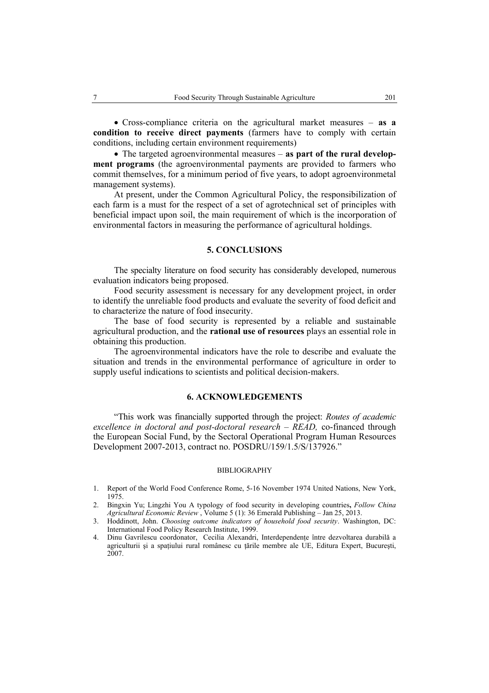• Cross-compliance criteria on the agricultural market measures – **as a condition to receive direct payments** (farmers have to comply with certain conditions, including certain environment requirements)

• The targeted agroenvironmental measures – **as part of the rural development programs** (the agroenvironmental payments are provided to farmers who commit themselves, for a minimum period of five years, to adopt agroenvironmetal management systems).

At present, under the Common Agricultural Policy, the responsibilization of each farm is a must for the respect of a set of agrotechnical set of principles with beneficial impact upon soil, the main requirement of which is the incorporation of environmental factors in measuring the performance of agricultural holdings.

### **5. CONCLUSIONS**

The specialty literature on food security has considerably developed, numerous evaluation indicators being proposed.

Food security assessment is necessary for any development project, in order to identify the unreliable food products and evaluate the severity of food deficit and to characterize the nature of food insecurity.

The base of food security is represented by a reliable and sustainable agricultural production, and the **rational use of resources** plays an essential role in obtaining this production.

The agroenvironmental indicators have the role to describe and evaluate the situation and trends in the environmental performance of agriculture in order to supply useful indications to scientists and political decision-makers.

#### **6. ACKNOWLEDGEMENTS**

"This work was financially supported through the project: *Routes of academic excellence in doctoral and post-doctoral research – READ,* co-financed through the European Social Fund, by the Sectoral Operational Program Human Resources Development 2007-2013, contract no. POSDRU/159/1.5/S/137926."

#### BIBLIOGRAPHY

- 1. Report of the World Food Conference Rome, 5-16 November 1974 United Nations, New York, 1975.
- 2. Bingxin Yu; Lingzhi You A typology of food security in developing countries**,** *Follow China Agricultural Economic Review* , Volume 5 (1): 36 Emerald Publishing – Jan 25, 2013.
- 3. Hoddinott, John. *Choosing outcome indicators of household food security*. Washington, DC: International Food Policy Research Institute, 1999.
- 4. Dinu Gavrilescu coordonator, Cecilia Alexandri, Interdependențe între dezvoltarea durabilă a agriculturii și a spatiului rural românesc cu tările membre ale UE, Editura Expert, București, 2007.